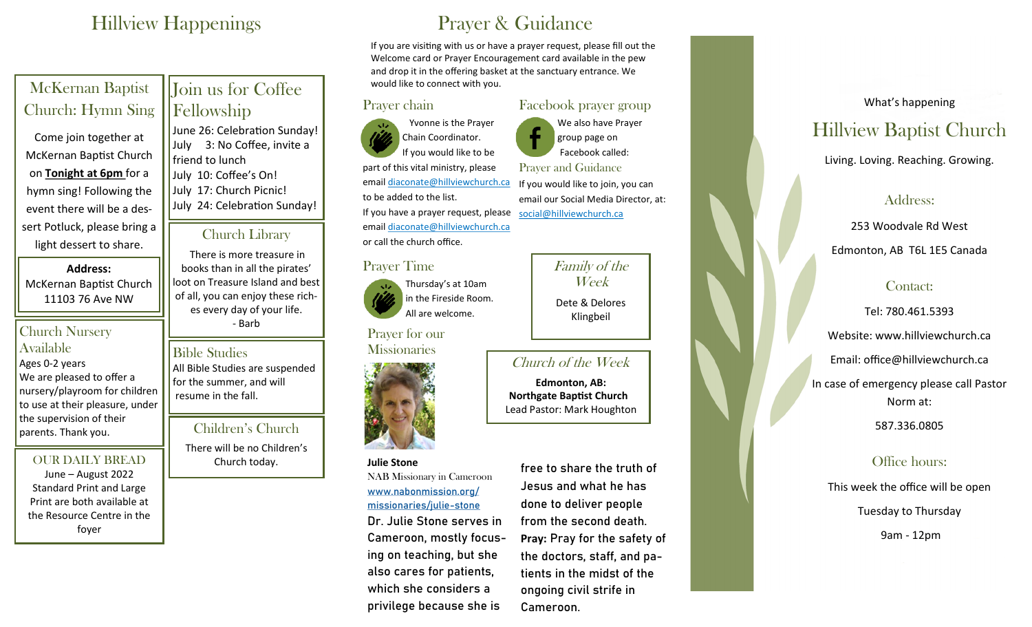# Hillview Happenings

| <b>McKernan Baptist</b><br>Church: Hymn Sing<br>Come join together at<br>McKernan Baptist Church<br>on Tonight at 6pm for a<br>hymn sing! Following the<br>event there will be a des- | Join us for Coffee<br>Fellowship<br>June 26: Celebration Sunday!<br>3: No Coffee, invite a<br>July<br>friend to lunch<br>July 10: Coffee's On!<br>July 17: Church Picnic!<br>July 24: Celebration Sunday! |
|---------------------------------------------------------------------------------------------------------------------------------------------------------------------------------------|-----------------------------------------------------------------------------------------------------------------------------------------------------------------------------------------------------------|
| sert Potluck, please bring a<br>light dessert to share.                                                                                                                               | <b>Church Library</b><br>There is more treasure in<br>books than in all the pirates'<br>loot on Treasure Island and best<br>of all, you can enjoy these rich-<br>es every day of your life.<br>- Barb     |
| <b>Address:</b><br>McKernan Baptist Church<br>11103 76 Ave NW<br><b>Church Nursery</b>                                                                                                |                                                                                                                                                                                                           |
| Available                                                                                                                                                                             | $Dth$ $Cth$ $dtot$                                                                                                                                                                                        |

#### Bible Studies

Ages 0-2 years We are pleased to offer a nursery/playroom for children to use at their pleasure, under the supervision of their parents. Thank you.

#### OUR DAILY BREAD

June – August 2022 Standard Print and Large Print are both available at the Resource Centre in the foyer

All Bible Studies are suspended for the summer, and will resume in the fall.

# Children's Church

There will be no Children's Church today.

# Prayer & Guidance

If you are visiting with us or have a prayer request, please fill out the Welcome card or Prayer Encouragement card available in the pew and drop it in the offering basket at the sanctuary entrance. We would like to connect with you.

## Prayer chain

 Yvonne is the Prayer Chain Coordinator. If you would like to be part of this vital ministry, please email [diaconate@hillviewchurch.ca](mailto:diaconate@hillviewchurch.ca) to be added to the list. If you have a prayer request, please email [diaconate@hillviewchurch.ca](mailto:diaconate@hillviewchurch.ca) or call the church office.

#### Prayer Time

Thursday's at 10am in the Fireside Room. All are welcome.

Prayer for our **Missionaries** 



#### **Julie Stone**

NAB Missionary in Cameroon [www.nabonmission.org/](file://///NABDC/Advancement/MinAdv/Missionary%20of%20the%20Week/2021/www.nabonmission.org/missionaries/julie-stone) [missionaries/julie](file://///NABDC/Advancement/MinAdv/Missionary%20of%20the%20Week/2021/www.nabonmission.org/missionaries/julie-stone)-stone

Dr. Julie Stone serves in Cameroon, mostly focusing on teaching, but she also cares for patients, which she considers a privilege because she is

free to share the truth of Jesus and what he has done to deliver people from the second death. **Pray:** Pray for the safety of the doctors, staff, and patients in the midst of the ongoing civil strife in Cameroon.

# Facebook prayer group

We also have Prayer group page on Facebook called: Prayer and Guidance If you would like to join, you can email our Social Media Director, at: social@hillviewchurch.ca

# Family of the Week Dete & Delores

Klingbeil

# Church of the Week

 **Edmonton, AB: Northgate Baptist Church** Lead Pastor: Mark Houghton

What's happening Hillview Baptist Church

Living. Loving. Reaching. Growing.

# Address:

253 Woodvale Rd West

Edmonton, AB T6L 1E5 Canada

# Contact:

Tel: 780.461.5393 Website: www.hillviewchurch.ca Email: office@hillviewchurch.ca In case of emergency please call Pastor Norm at:

# 587.336.0805

# Office hours:

This week the office will be open Tuesday to Thursday

9am - 12pm